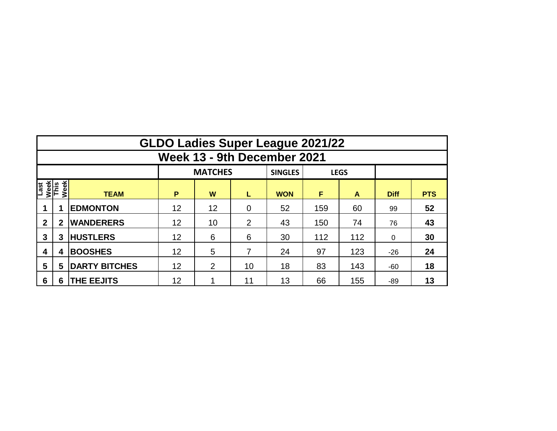|                                     | <b>GLDO Ladies Super League 2021/22</b> |                      |                 |                |                |                |     |             |             |            |  |  |  |  |  |
|-------------------------------------|-----------------------------------------|----------------------|-----------------|----------------|----------------|----------------|-----|-------------|-------------|------------|--|--|--|--|--|
|                                     | Week 13 - 9th December 2021             |                      |                 |                |                |                |     |             |             |            |  |  |  |  |  |
|                                     |                                         |                      |                 | <b>MATCHES</b> |                | <b>SINGLES</b> |     | <b>LEGS</b> |             |            |  |  |  |  |  |
| Week<br>This<br>Week<br><b>Iast</b> |                                         | <b>TEAM</b>          | P               | W              | L              | <b>WON</b>     | F   | A           | <b>Diff</b> | <b>PTS</b> |  |  |  |  |  |
|                                     |                                         | <b>EDMONTON</b>      | 12              | 12             | $\overline{0}$ | 52             | 159 | 60          | 99          | 52         |  |  |  |  |  |
| $\mathbf{2}$                        | $\mathbf{2}$                            | <b>WANDERERS</b>     | 12<br>10        |                | 2              | 43             | 150 | 74          | 76          | 43         |  |  |  |  |  |
| 3                                   | 3                                       | <b>HUSTLERS</b>      | 12<br>6         |                | 6              | 30             | 112 | 112         | $\Omega$    | 30         |  |  |  |  |  |
| 4                                   | 4                                       | <b>BOOSHES</b>       | 12              | 5              | 7              | 24             | 97  | 123         | $-26$       | 24         |  |  |  |  |  |
| 5                                   | 5                                       | <b>DARTY BITCHES</b> | 12              |                | 10             | 18             | 83  | 143         | $-60$       | 18         |  |  |  |  |  |
| 6                                   | 6                                       | <b>THE EEJITS</b>    | 12 <sub>2</sub> |                | 11             | 13             | 66  | 155         | -89         | 13         |  |  |  |  |  |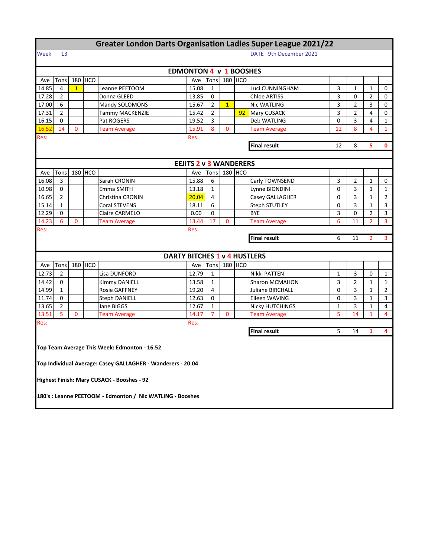|                                                  | <b>Greater London Darts Organisation Ladies Super League 2021/22</b> |              |         |                                                             |  |                                     |                |                |         |                         |    |                |                |                |
|--------------------------------------------------|----------------------------------------------------------------------|--------------|---------|-------------------------------------------------------------|--|-------------------------------------|----------------|----------------|---------|-------------------------|----|----------------|----------------|----------------|
| Week                                             | 13                                                                   |              |         |                                                             |  |                                     |                |                |         | DATE 9th December 2021  |    |                |                |                |
|                                                  |                                                                      |              |         |                                                             |  |                                     |                |                |         |                         |    |                |                |                |
|                                                  |                                                                      |              |         |                                                             |  | <b>EDMONTON 4 v 1 BOOSHES</b>       |                |                |         |                         |    |                |                |                |
| Ave                                              | Tons                                                                 |              | 180 HCO |                                                             |  | Ave                                 | Tons           |                | 180 HCO |                         |    |                |                |                |
| 14.85                                            | 4                                                                    | $\mathbf{1}$ |         | Leanne PEETOOM                                              |  | 15.08                               | $\mathbf{1}$   |                |         | Luci CUNNINGHAM         | 3  | $\mathbf{1}$   | $\mathbf{1}$   | 0              |
| 17.28                                            | 2                                                                    |              |         | Donna GLEED                                                 |  | 13.85                               | 0              |                |         | <b>Chloe ARTISS</b>     | 3  | 0              | $\overline{2}$ | 0              |
| 17.00                                            | 6                                                                    |              |         | Mandy SOLOMONS                                              |  | 15.67                               | $\overline{2}$ | $\overline{1}$ |         | <b>Nic WATLING</b>      | 3  | $\overline{2}$ | 3              | 0              |
| 17.31                                            | $\overline{2}$                                                       |              |         | Tammy MACKENZIE                                             |  | 15.42                               | $\overline{2}$ |                | 92      | Mary CUSACK             | 3  | $\overline{2}$ | 4              | 0              |
| 16.15                                            | 0                                                                    |              |         | Pat ROGERS                                                  |  | 19.52                               | 3              |                |         | Deb WATLING             | 0  | 3              | $\overline{4}$ | $\mathbf{1}$   |
| 16.52                                            | 14                                                                   | 0            |         | <b>Team Average</b>                                         |  | 15.91                               | 8              | $\mathbf{0}$   |         | <b>Team Average</b>     | 12 | 8              | $\overline{4}$ | $\mathbf{1}$   |
| Res:                                             | Res:                                                                 |              |         |                                                             |  |                                     |                |                |         |                         |    |                |                |                |
| <b>Final result</b><br>8<br>12                   |                                                                      |              |         |                                                             |  |                                     |                |                |         |                         | 5  | 0              |                |                |
|                                                  |                                                                      |              |         |                                                             |  |                                     |                |                |         |                         |    |                |                |                |
|                                                  |                                                                      |              |         |                                                             |  | <b>EEJITS 2 v 3 WANDERERS</b>       |                |                |         |                         |    |                |                |                |
| Ave                                              | Tons                                                                 |              | 180 HCO |                                                             |  | Ave                                 | Tons           |                | 180 HCO |                         |    |                |                |                |
| 16.08                                            | 3                                                                    |              |         | Sarah CRONIN                                                |  | 15.88                               | 6              |                |         | Carly TOWNSEND          | 3  | 2              | $\mathbf{1}$   | 0              |
| 10.98                                            | 0                                                                    |              |         | Emma SMITH                                                  |  | 13.18                               | $\mathbf 1$    |                |         | Lynne BIONDINI          | 0  | 3              | $\mathbf{1}$   | $\mathbf{1}$   |
| 16.65                                            | $\overline{2}$                                                       |              |         | Christina CRONIN                                            |  | 20.04                               | 4              |                |         | Casey GALLAGHER         | 0  | 3              | $\mathbf{1}$   | $\overline{2}$ |
| 15.14                                            | $\mathbf{1}$                                                         |              |         | <b>Coral STEVENS</b>                                        |  | 18.11                               | 6              |                |         | <b>Steph STUTLEY</b>    | 0  | 3              | $\mathbf{1}$   | 3              |
| 12.29                                            | 0                                                                    |              |         | Claire CARMELO                                              |  | 0.00                                | 0              |                |         | <b>BYE</b>              | 3  | 0              | $\overline{2}$ | 3              |
| 14.23                                            | 6                                                                    | 0            |         | <b>Team Average</b>                                         |  | 13.44                               | 17             | $\mathbf{0}$   |         | <b>Team Average</b>     | 6  | 11             | $\overline{2}$ | 3              |
| Res:                                             |                                                                      |              |         |                                                             |  | Res:                                |                |                |         |                         |    |                |                |                |
| <b>Final result</b><br>6<br>11<br>$\overline{2}$ |                                                                      |              |         |                                                             |  |                                     |                |                |         |                         | 3  |                |                |                |
|                                                  |                                                                      |              |         |                                                             |  |                                     |                |                |         |                         |    |                |                |                |
|                                                  |                                                                      |              |         |                                                             |  | <b>DARTY BITCHES 1 v 4 HUSTLERS</b> |                |                |         |                         |    |                |                |                |
| Ave                                              | Tons                                                                 |              | 180 HCO |                                                             |  | Ave                                 | Tons           |                | 180 HCO |                         |    |                |                |                |
| 12.73                                            | 2                                                                    |              |         | Lisa DUNFORD                                                |  | 12.79                               | 1              |                |         | Nikki PATTEN            | 1  | 3              | 0              | 1              |
| 14.42                                            | 0                                                                    |              |         | Kimmy DANIELL                                               |  | 13.58                               | $\mathbf{1}$   |                |         | Sharon MCMAHON          | 3  | $\overline{2}$ | $\mathbf{1}$   | 1              |
| 14.99                                            | $\mathbf{1}$                                                         |              |         | <b>Rosie GAFFNEY</b>                                        |  | 19.20                               | 4              |                |         | <b>Juliane BIRCHALL</b> | 0  | 3              | $\mathbf{1}$   | 2              |
| 11.74                                            | 0                                                                    |              |         | <b>Steph DANIELL</b>                                        |  | 12.63                               | 0              |                |         | Eileen WAVING           | 0  | 3              | $\mathbf{1}$   | 3              |
| 13.65                                            | 2                                                                    |              |         | Jane BIGGS                                                  |  | 12.67                               | $\mathbf{1}$   |                |         | Nicky HUTCHINGS         | 1  | 3              | $\mathbf{1}$   | 4              |
| 13.51                                            | 5                                                                    | 0            |         | <b>Team Average</b>                                         |  | 14.17                               | $\overline{7}$ | 0              |         | <b>Team Average</b>     | 5  | 14             | $\mathbf{1}$   | 4              |
| Res:                                             |                                                                      |              |         |                                                             |  | Res:                                |                |                |         |                         |    |                |                |                |
|                                                  |                                                                      |              |         |                                                             |  |                                     |                |                |         | <b>Final result</b>     | 5  | 14             | $\mathbf{1}$   | 4              |
|                                                  |                                                                      |              |         |                                                             |  |                                     |                |                |         |                         |    |                |                |                |
|                                                  |                                                                      |              |         | Top Team Average This Week: Edmonton - 16.52                |  |                                     |                |                |         |                         |    |                |                |                |
|                                                  |                                                                      |              |         |                                                             |  |                                     |                |                |         |                         |    |                |                |                |
|                                                  |                                                                      |              |         | Top Individual Average: Casey GALLAGHER - Wanderers - 20.04 |  |                                     |                |                |         |                         |    |                |                |                |
|                                                  |                                                                      |              |         |                                                             |  |                                     |                |                |         |                         |    |                |                |                |
|                                                  |                                                                      |              |         | Highest Finish: Mary CUSACK - Booshes - 92                  |  |                                     |                |                |         |                         |    |                |                |                |
|                                                  |                                                                      |              |         |                                                             |  |                                     |                |                |         |                         |    |                |                |                |
|                                                  |                                                                      |              |         | 180's : Leanne PEETOOM - Edmonton / Nic WATLING - Booshes   |  |                                     |                |                |         |                         |    |                |                |                |